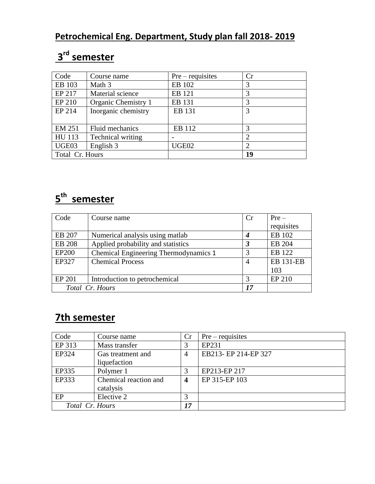## **3 rd semester**

| Code            | Course name         | $Pre-requires$ | Cr             |
|-----------------|---------------------|----------------|----------------|
| EB 103          | Math 3              | EB 102         | 3              |
| EP 217          | Material science    | EB 121         | 3              |
| EP 210          | Organic Chemistry 1 | EB 131         | 3              |
| EP 214          | Inorganic chemistry | EB 131         | 3              |
|                 |                     |                |                |
| <b>EM 251</b>   | Fluid mechanics     | EB 112         | 3              |
| HU 113          | Technical writing   |                | $\overline{2}$ |
| UGE03           | English 3           | UGE02          | $\overline{2}$ |
| Total Cr. Hours |                     |                | 19             |

## **5 th semester**

| Code            | Course name                           |                  | $Pre-$           |
|-----------------|---------------------------------------|------------------|------------------|
|                 |                                       |                  | requisites       |
| EB 207          | Numerical analysis using matlab       | $\boldsymbol{4}$ | EB 102           |
| <b>EB 208</b>   | Applied probability and statistics    | 3                | EB 204           |
| <b>EP200</b>    | Chemical Engineering Thermodynamics 1 | 3                | EB 122           |
| EP327           | <b>Chemical Process</b>               | 4                | <b>EB 131-EB</b> |
|                 |                                       |                  | 103              |
| EP 201          | Introduction to petrochemical         | 3                | <b>EP 210</b>    |
| Total Cr. Hours |                                       |                  |                  |

## **7th semester**

| Code            | Course name           | Cr             | $Pre-requires$       |
|-----------------|-----------------------|----------------|----------------------|
| EP 313          | Mass transfer         | 3              | EP231                |
| EP324           | Gas treatment and     | $\overline{4}$ | EB213- EP 214-EP 327 |
|                 | liquefaction          |                |                      |
| EP335           | Polymer 1             | 3              | EP213-EP 217         |
| EP333           | Chemical reaction and | 4              | EP 315-EP 103        |
|                 | catalysis             |                |                      |
| EP              | Elective 2            | 3              |                      |
| Total Cr. Hours |                       | 17             |                      |